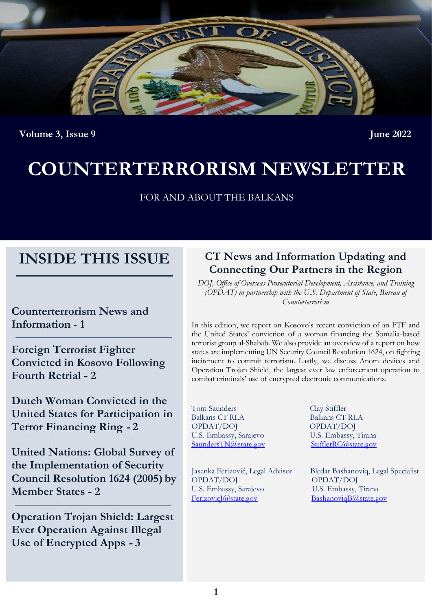

**Volume 3, Issue 9** June 2022

# **COUNTERTERRORISM NEWSLETTER**

FOR AND ABOUT THE BALKANS

# **INSIDE THIS ISSUE**

**Counterterrorism News and Information** - **1**

**Foreign Terrorist Fighter Convicted in Kosovo Following Fourth Retrial - 2**

**Dutch Woman Convicted in the United States for Participation in Terror Financing Ring - 2**

**United Nations: Global Survey of the Implementation of Security Council Resolution 1624 (2005) by Member States - 2**

**Operation Trojan Shield: Largest Ever Operation Against Illegal Use of Encrypted Apps - 3**

# **CT News and Information Updating and Connecting Our Partners in the Region**

*DOJ, Office of Overseas Prosecutorial Development, Assistance, and Training (OPDAT) in partnership with the U.S. Department of State, Bureau of Counterterrorism*

In this edition, we report on Kosovo's recent conviction of an FTF and the United States' conviction of a woman financing the Somalia-based terrorist group al-Shabab. We also provide an overview of a report on how states are implementing UN Security Council Resolution 1624, on fighting incitement to commit terrorism. Lastly, we discuss Anom devices and Operation Trojan Shield, the largest ever law enforcement operation to combat criminals' use of encrypted electronic communications.

Tom Saunders Clay Stiffler Balkans CT RLA Balkans CT RLA OPDAT/DOJ OPDAT/DOJ U.S. Embassy, Sarajevo U.S. Embassy, Tirana [SaundersTN@state.gov](mailto:saunderstn@state.gov) [StifflerRC@state.gov](mailto:StifflerRC@state.gov)

OPDAT/DOJ OPDAT/DOJ U.S. Embassy, Sarajevo U.S. Embassy, Tirana [FerizovicJ@state.gov](mailto:FerizovicJ@state.gov) [BashanoviqB@state.gov](mailto:BashanoviqB@state.gov)

Jasenka Ferizović, Legal Advisor Bledar Bashanoviq, Legal Specialist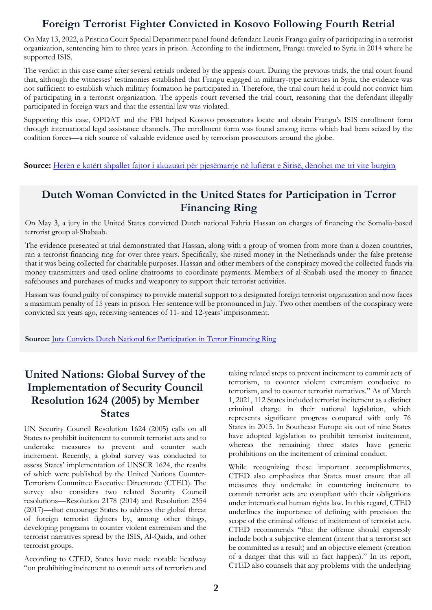# **Foreign Terrorist Fighter Convicted in Kosovo Following Fourth Retrial**

On May 13, 2022, a Pristina Court Special Department panel found defendant Leunis Frangu guilty of participating in a terrorist organization, sentencing him to three years in prison. According to the indictment, Frangu traveled to Syria in 2014 where he supported ISIS.

The verdict in this case came after several retrials ordered by the appeals court. During the previous trials, the trial court found that, although the witnesses' testimonies established that Frangu engaged in military-type activities in Syria, the evidence was not sufficient to establish which military formation he participated in. Therefore, the trial court held it could not convict him of participating in a terrorist organization. The appeals court reversed the trial court, reasoning that the defendant illegally participated in foreign wars and that the essential law was violated.

Supporting this case, OPDAT and the FBI helped Kosovo prosecutors locate and obtain Frangu's ISIS enrollment form through international legal assistance channels. The enrollment form was found among items which had been seized by the coalition forces—a rich source of valuable evidence used by terrorism prosecutors around the globe.

**Source:** [Herën e katërt shpallet fajtor i akuzuari për pjesëmarrje në luftërat e Sirisë, dënohet me tri vite burgim](https://betimiperdrejtesi.com/heren-e-katert-shpallet-fajtor-i-akuzuari-per-pjesemarrje-ne-lufterat-e-sirise-denohet-me-tri-vite-burgim/)

## **Dutch Woman Convicted in the United States for Participation in Terror Financing Ring**

On May 3, a jury in the United States convicted Dutch national Fahria Hassan on charges of financing the Somalia-based terrorist group al-Shabaab.

The evidence presented at trial demonstrated that Hassan, along with a group of women from more than a dozen countries, ran a terrorist financing ring for over three years. Specifically, she raised money in the Netherlands under the false pretense that it was being collected for charitable purposes. Hassan and other members of the conspiracy moved the collected funds via money transmitters and used online chatrooms to coordinate payments. Members of al-Shabab used the money to finance safehouses and purchases of trucks and weaponry to support their terrorist activities.

Hassan was found guilty of conspiracy to provide material support to a designated foreign terrorist organization and now faces a maximum penalty of 15 years in prison. Her sentence will be pronounced in July. Two other members of the conspiracy were convicted six years ago, receiving sentences of 11- and 12-years' imprisonment.

**Source:** [Jury Convicts Dutch National for Participation in Terror Financing Ring](https://www.justice.gov/opa/pr/jury-convicts-dutch-national-participation-terror-financing-ring)

## **United Nations: Global Survey of the Implementation of Security Council Resolution 1624 (2005) by Member States**

UN Security Council Resolution 1624 (2005) calls on all States to prohibit incitement to commit terrorist acts and to undertake measures to prevent and counter such incitement. Recently, a global survey was conducted to assess States' implementation of UNSCR 1624, the results of which were published by the United Nations Counter-Terrorism Committee Executive Directorate (CTED). The survey also considers two related Security Council resolutions—Resolution 2178 (2014) and Resolution 2354 (2017)—that encourage States to address the global threat of foreign terrorist fighters by, among other things, developing programs to counter violent extremism and the terrorist narratives spread by the ISIS, Al-Qaida, and other terrorist groups.

According to CTED, States have made notable headway "on prohibiting incitement to commit acts of terrorism and

taking related steps to prevent incitement to commit acts of terrorism, to counter violent extremism conducive to terrorism, and to counter terrorist narratives." As of March 1, 2021, 112 States included terrorist incitement as a distinct criminal charge in their national legislation, which represents significant progress compared with only 76 States in 2015. In Southeast Europe six out of nine States have adopted legislation to prohibit terrorist incitement, whereas the remaining three states have generic prohibitions on the incitement of criminal conduct.

While recognizing these important accomplishments, CTED also emphasizes that States must ensure that all measures they undertake in countering incitement to commit terrorist acts are compliant with their obligations under international human rights law. In this regard, CTED underlines the importance of defining with precision the scope of the criminal offense of incitement of terrorist acts. CTED recommends "that the offence should expressly include both a subjective element (intent that a terrorist act be committed as a result) and an objective element (creation of a danger that this will in fact happen)." In its report, CTED also counsels that any problems with the underlying